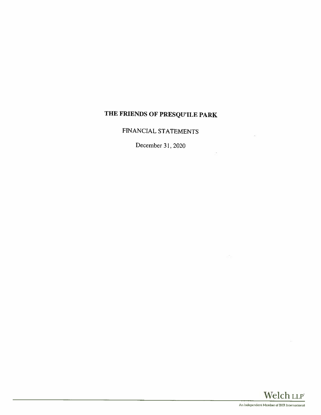## THE FRIENDS OF PRESQU'ILE PARK

FINANCIAL STATEMENTS

December 31, 2020



×.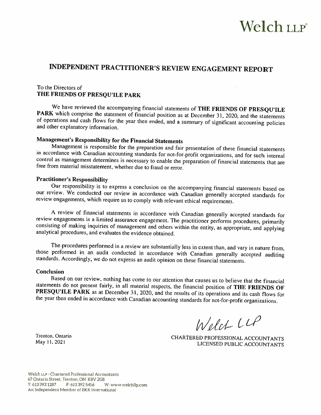# Welch LLP

### INDEPENDENT PRACTITIONER'S REVIEW ENGAGEMENT REPORT

#### To the Directors of THE FRIENDS OF PRESQU'ILE PARK

We have reviewed the accompanying financial statements of THE FRIENDS OF PRESQU'ILE PARK which comprise the statement of financial position as at December 31, 2020, and the statements of operations and cash flows for the y

Management's Responsibility for the Financial Statements<br>Management is responsible for the preparation and fair presentation of these financial statements in accordance with Canadian accounting standards for not-for-profit organizations, and for such internal control as management determines is necessary to enable the preparation of financial statements that are free from material misstatement, whether due to fiaud or error.

#### Practitioner's Responsibility

Our responsibility is to express <sup>a</sup> conclusion on the accompanying financial statements based on our review. We conducted our review in accordance with Canadian generally accepted standards for review engagements, which require us to comply with relevant ethical requirements.

A review of financial statements in accordance with Canadian generally accepted standards for review engagements is a limited assurance engagement. The practitioner performs procedures, primarily consisting of making inqui

The procedures performed in a review are substantially less in extent than, and vary in nature from, those performed in an audit conducted in accordance with Canadian generally accepted auditing standards. Accordingly, we

#### Conclusion

Based on our review, nothing has come to our attention that causes us to believe that the financial statements do not present fairly, in all material respects, the financial position of **THE FRIENDS OF PRESQU'ILE PARK** as

Welch LLP

Trenton, Ontario CHARTERED PROFESSIONAL ACCOUNTANTS<br>May 11, 2021 LICENSED PUBLIC ACCOUNTANTS

Welch LLP - Chartered Professional Accountants 67 Ontario Street, Trenton, ON K8V 2G8 T: <sup>613</sup> <sup>392</sup> <sup>1287</sup> F: <sup>613</sup> <sup>392</sup> 5456 W: www,welchilpcorn An Independent Member of BKR International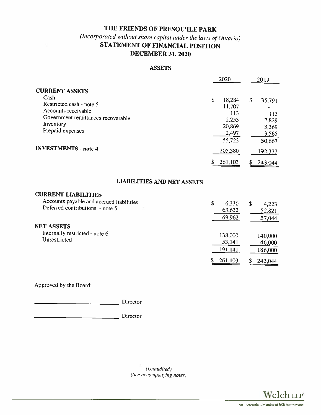### THE FRIENDS OF PRESQU'ILE PARK

### (Incorpora ted without share capital under the laws of Ontario) STATEMENT OF FINANCIAL POSITION DECEMBER 31, 2020

### ASSETS

|                                                                                                                                                                                        |         | 2020                                                                                |                     | 2019                                                                     |
|----------------------------------------------------------------------------------------------------------------------------------------------------------------------------------------|---------|-------------------------------------------------------------------------------------|---------------------|--------------------------------------------------------------------------|
| <b>CURRENT ASSETS</b><br>Cash<br>Restricted cash - note 5<br>Accounts receivable<br>Government remittances recoverable<br>Inventory<br>Prepaid expenses<br><b>INVESTMENTS - note 4</b> | \$<br>S | 18,284<br>11,707<br>113<br>2,253<br>20,869<br>2,497<br>55,723<br>205,380<br>261,103 | $\mathsf{S}$<br>\$. | 35,791<br>113<br>7,829<br>3,369<br>3,565<br>50,667<br>192,377<br>243,044 |
| <b>LIABILITIES AND NET ASSETS</b>                                                                                                                                                      |         |                                                                                     |                     |                                                                          |
| <b>CURRENT LIABILITIES</b><br>Accounts payable and accrued liabilities<br>Deferred contributions - note 5<br><b>NET ASSETS</b>                                                         | \$      | 6,330<br>63,632<br>69,962                                                           | $\mathbf S$         | 4,223<br>52,821<br>57,044                                                |
|                                                                                                                                                                                        |         |                                                                                     |                     |                                                                          |

Internally restricted - note 6 138,000 140,000 140,000 140,000 140,000 140,000 140,000 140,000 140,000 140,000

Approved by the Board:

**Director** 

 $\overline{\phantom{a}}$  Director

(Unaudited) (See accompanying notes)



191,141 186,000

\$ 261,103 \$ 243,044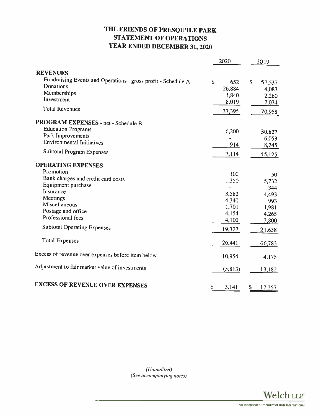### THE FRIENDS OF PRESQUILE PARK STATEMENT OF OPERATIONS YEAR ENDED DECEMBER 31, 2020

|                                                               | 2020        | 2019         |
|---------------------------------------------------------------|-------------|--------------|
| <b>REVENUES</b>                                               |             |              |
| Fundraising Events and Operations - gross profit - Schedule A | \$<br>652   | \$<br>57,537 |
| Donations                                                     | 26,884      | 4,087        |
| Memberships                                                   | 1,840       | 2,260        |
| Investment                                                    | 8,019       | 7,074        |
| <b>Total Revenues</b>                                         | 37,395      | 70,958       |
| PROGRAM EXPENSES - net - Schedule B                           |             |              |
| <b>Education Programs</b>                                     |             |              |
| Park Improvements                                             | 6,200       | 30,827       |
| <b>Environmental Initiatives</b>                              |             | 6,053        |
|                                                               | 914         | 8,245        |
| Subtotal Program Expenses                                     | 7,114       | 45,125       |
| <b>OPERATING EXPENSES</b>                                     |             |              |
| Promotion                                                     | 100         | 50           |
| Bank charges and credit card costs                            | 1,350       | 5,732        |
| Equipment purchase                                            |             | 344          |
| Insurance                                                     | 3,582       | 4,493        |
| Meetings                                                      | 4,340       | 993          |
| Miscellaneous                                                 | 1,701       | 1,981        |
| Postage and office                                            | 4,154       | 4,265        |
| Professional fees                                             | 4,100       | 3,800        |
| <b>Subtotal Operating Expenses</b>                            |             |              |
|                                                               | 19,327      | 21,658       |
| <b>Total Expenses</b>                                         | 26,441      | 66,783       |
| Excess of revenue over expenses before item below             | 10,954      | 4,175        |
| Adjustment to fair market value of investments                | (5, 813)    | 13,182       |
| <b>EXCESS OF REVENUE OVER EXPENSES</b>                        | \$<br>5,141 | \$<br>17,357 |

(Unaudited) (See accompanying notes)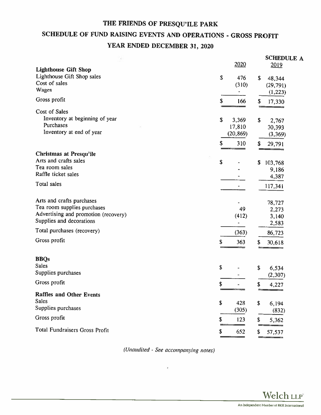### THE FRIENDS OF PRESQU'ILE PARK

### SCHEDULE OF FUND RAISING EVENTS AND OPERATIONS - GROSS PROFIT YEAR ENDED DECEMBER 31, 2020

|                                                                                                                                                                            | 2020                                                          | <b>SCHEDULE A</b><br>2019                                  |
|----------------------------------------------------------------------------------------------------------------------------------------------------------------------------|---------------------------------------------------------------|------------------------------------------------------------|
| <b>Lighthouse Gift Shop</b><br>Lighthouse Gift Shop sales<br>Cost of sales<br>Wages                                                                                        | \$<br>476<br>(310)                                            | $\mathbf{s}$<br>48,344<br>(29, 791)<br>(1, 223)            |
| Gross profit                                                                                                                                                               | \$<br>166                                                     | \$<br>17,330                                               |
| Cost of Sales<br>Inventory at beginning of year<br>Purchases<br>Inventory at end of year                                                                                   | \$<br>3,369<br>17,810<br>(20, 869)<br>\$<br>310               | \$<br>2,767<br>30,393<br>(3,369)<br>\$<br>29,791           |
| <b>Christmas at Presqu'ile</b>                                                                                                                                             |                                                               |                                                            |
| Arts and crafts sales<br>Tea room sales<br>Raffle ticket sales                                                                                                             | \$                                                            | \$<br>103,768<br>9,186<br>4,387                            |
| Total sales                                                                                                                                                                |                                                               | 117,341                                                    |
| Arts and crafts purchases<br>Tea room supplies purchases<br>Advertising and promotion (recovery)<br>Supplies and decorations<br>Total purchases (recovery)<br>Gross profit | 49<br>(412)<br>$\overline{\phantom{0}}$<br>(363)<br>\$<br>363 | 78,727<br>2,273<br>3,140<br>2,583<br>86,723<br>30,618<br>S |
| <b>BBQs</b><br><b>Sales</b>                                                                                                                                                |                                                               |                                                            |
| Supplies purchases                                                                                                                                                         | \$                                                            | \$<br>6,534<br>(2,307)                                     |
| Gross profit                                                                                                                                                               | \$                                                            | \$<br>4,227                                                |
| <b>Raffles and Other Events</b><br><b>Sales</b>                                                                                                                            | \$<br>428                                                     | \$<br>6,194                                                |
| Supplies purchases                                                                                                                                                         | (305)                                                         | (832)                                                      |
| Gross profit                                                                                                                                                               | \$<br>123                                                     | \$<br>5,362                                                |
| <b>Total Fundraisers Gross Profit</b>                                                                                                                                      | \$<br>652                                                     | \$<br>57,537                                               |

(Unaudited - See accompanying notes)

٧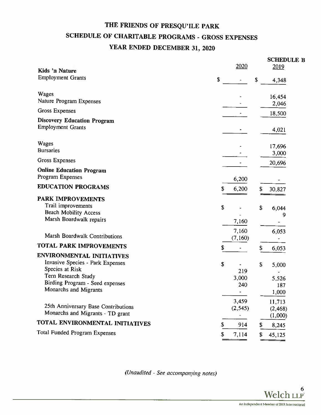### THE FRIENDS OF PRESQU'ILE PARK SCHEDULE OF CHARITABLE PROGRAMS - GROSS EXPENSES YEAR ENDED DECEMBER 31, <sup>2020</sup>

| Kids 'n Nature                                                                                            | 2020                            | <b>SCHEDULE B</b><br>2019     |
|-----------------------------------------------------------------------------------------------------------|---------------------------------|-------------------------------|
| <b>Employment Grants</b>                                                                                  | \$                              | \$<br>4,348                   |
| Wages<br>Nature Program Expenses                                                                          |                                 | 16,454                        |
| <b>Gross Expenses</b>                                                                                     |                                 | 2,046                         |
|                                                                                                           |                                 | 18,500                        |
| <b>Discovery Education Program</b><br><b>Employment Grants</b>                                            |                                 | 4.021                         |
| <b>Wages</b><br><b>Bursaries</b>                                                                          |                                 | 17,696<br>3,000               |
| <b>Gross Expenses</b>                                                                                     |                                 | 20,696                        |
| <b>Online Education Program</b><br>Program Expenses                                                       | 6,200                           |                               |
| <b>EDUCATION PROGRAMS</b>                                                                                 | \$<br>6,200                     | \$<br>30,827                  |
| <b>PARK IMPROVEMENTS</b><br>Trail improvements<br><b>Beach Mobility Access</b><br>Marsh Boardwalk repairs | \$<br>7,160                     | \$<br>6,044<br>9              |
| Marsh Boardwalk Contributions                                                                             | 7,160<br>(7,160)                | 6,053                         |
| <b>TOTAL PARK IMPROVEMENTS</b>                                                                            | \$                              | \$<br>6,053                   |
| <b>ENVIRONMENTAL INITIATIVES</b>                                                                          |                                 |                               |
| Invasive Species - Park Expenses<br>Species at Risk<br>Tern Research Study                                | \$<br>219<br>3,000              | \$<br>5,000<br>5,526          |
| Birding Program - Seed expenses<br>Monarchs and Migrants                                                  | 240<br>$\overline{\phantom{a}}$ | 187<br>1,000                  |
| 25th Anniversary Base Contributions<br>Monarchs and Migrants - TD grant                                   | 3,459<br>(2, 545)               | 11,713<br>(2, 468)<br>(1,000) |
| TOTAL ENVIRONMENTAL INITIATIVES                                                                           | \$<br>914                       | \$<br>8,245                   |
| <b>Total Funded Program Expenses</b>                                                                      | \$<br>7,114                     | \$<br>45,125                  |

(Unaudited  $-$  See accompanying notes)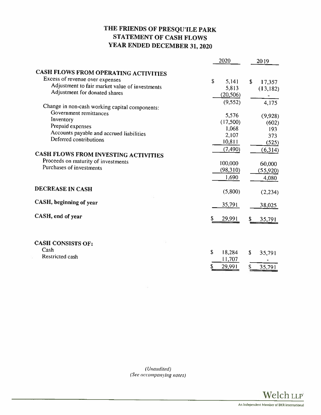### THE FRIENDS OF PRESQUILE PARK STATEMENT OF CASH FLOWS YEAR ENDED DECEMBER 31, <sup>2020</sup>

|                                                | 2020         | 2019          |
|------------------------------------------------|--------------|---------------|
| CASH FLOWS FROM OPERATING ACTIVITIES           |              |               |
| Excess of revenue over expenses                | \$<br>5,141  | $\mathsf{\$}$ |
| Adjustment to fair market value of investments | 5,813        | 17,357        |
| Adjustment for donated shares                  | (20, 506)    | (13,182)      |
|                                                |              |               |
| Change in non-cash working capital components: | (9,552)      | 4,175         |
| Government remittances                         | 5,576        |               |
| Inventory                                      | (17,500)     | (9,928)       |
| Prepaid expenses                               | 1,068        | (602)<br>193  |
| Accounts payable and accrued liabilities       | 2,107        | 373           |
| Deferred contributions                         | 10,811       |               |
|                                                | (7, 490)     | (525)         |
| CASH FLOWS FROM INVESTING ACTIVITIES           |              | (6,314)       |
| Proceeds on maturity of investments            |              |               |
| Purchases of investments                       | 100,000      | 60,000        |
|                                                | (98,310)     | (55, 920)     |
|                                                | 1,690        | 4,080         |
| <b>DECREASE IN CASH</b>                        |              |               |
|                                                | (5,800)      | (2,234)       |
| CASH, beginning of year                        | 35,791       | 38,025        |
|                                                |              |               |
| CASH, end of year                              | \$<br>29,991 | 35,791        |
|                                                |              |               |
|                                                |              |               |
| <b>CASH CONSISTS OF:</b>                       |              |               |
| Cash                                           | \$<br>18,284 | \$<br>35,791  |
| Restricted cash                                | 11,707       |               |
|                                                | 29,991<br>S  | \$<br>35,791  |
|                                                |              |               |

(Unaudited) (See accompanying notes)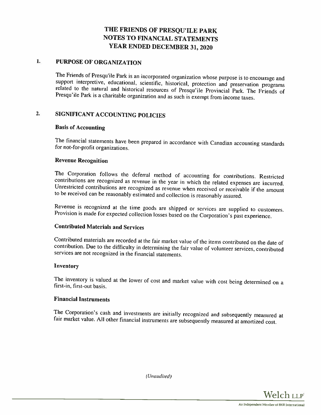#### 1. PURPOSE OF ORGANIZATION

The Friends of Presqu'ile Park is an incorporated organization whose purpose is to encourage and support interpretive, educational, scientific, historical, protection and preservation programs related to the natural and hi

### 2. SIGNIFICANT ACCOUNTING POLICIES

### Basis of Accounting

The financial statements have been prepared in accordance with Canadian accounting standards for not-for-profit organizations.

#### Revenue Recognition

The Corporation follows the deferral method of accounting for contributions. Restricted contributions are recognized as revenue in the year in which the related expenses are incurred. Unrestricted contributions are recogni

Revenue is recognized at the time goods are shipped or services are supplied to customers. Provision is made for expected collection losses based on the Corporation's past experience.

### Contributed Materials and Services

Contributed materials are recorded at the fair market value of the items contributed on the date of contribution. Due to the difficulty in determining the fair value of volunteer services, contributed services are not reco

#### Inventory

The inventory is valued at the lower of cost and market value with cost being determined on <sup>a</sup> first-in, first-out basis.

### Financial Instruments

The Corporation's cash and investments are initially recognized and subsequently measured at fair market value. All other financial instruments are subsequently measured at amortized cost.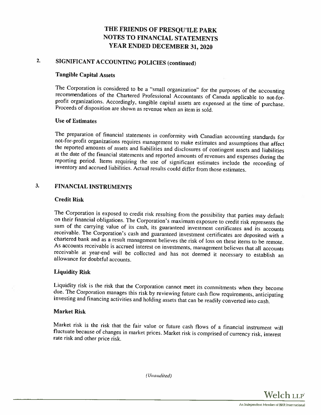### 2. SIGNIFICANT ACCOUNTING POLICIES (continued)

#### Tangible Capital Assets

The Corporation is considered to be a "small organization" for the purposes of the accounting recommendations of the Chartered Professional Accountants of Canada applicable to not-for-<br>profit organizations. Accordingly, ta

#### Use of Estimates

The preparation of financial statements in conformity with Canadian accounting standards for not-for-profit organizations requires management to make estimates and assumptions that affect the reported amounts of assets and

### 3. FINANCIAL INSTRUMENTS

#### Credit Risk

The Corporation is exposed to credit risk resulting from the possibility that parties may default<br>on their financial obligations. The Corporation's maximum exposure to credit risk represents the<br>sum of the carrying value o

#### Liquidity Risk

Liquidity risk is the risk that the Corporation cannot meet its commitments when they become due. The Corporation manages this risk by reviewing future cash flow requirements, anticipating investing and financing activitie

#### Market Risk

Market risk is the risk that the fair value or future cash flows of a financial instrument will fluctuate because of changes in market prices. Market risk is comprised of currency risk, interest rate risk and other price r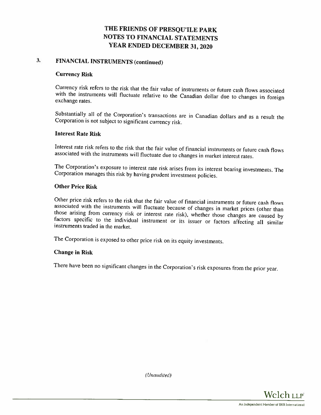### 3. FINANCIAL INSTRUMENTS (continued)

#### Currency Risk

Currency risk refers to the risk that the fair value of instruments or future cash flows associated with the instruments will fluctuate relative to the Canadian dollar due to changes in foreign exchange rates.

Substantially all of the Corporation's transactions are in Canadian dollars and as <sup>a</sup> result the Corporation is not subject to significant currency risk.

#### Interest Rate Risk

Interest rate risk refers to the risk that the fair value of financial instruments or future cash flows associated with the instruments will fluctuate due to changes in market interest rates.

The Corporation's exposure to interest rate risk arises from its interest hearing investments. The Corporation manages this risk by having prudent investment policies.

#### Other Price Risk

Other price risk refers to the risk that the fair value of financial instruments or future cash flows<br>associated with the instruments will fluctuate because of changes in market prices (other than<br>those arising from curren

The Corporation is exposed to other price risk on its equity investments.

#### Change in Risk

There have been no significant changes in the Corporation's risk exposures from the prior year.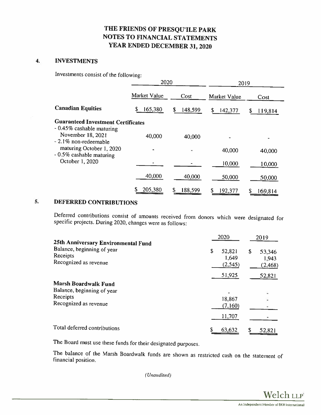### 4. INVESTMENTS

Investments consist of the following:

|                                                                           | 2020         |         | 2019          |              |  |
|---------------------------------------------------------------------------|--------------|---------|---------------|--------------|--|
|                                                                           | Market Value | Cost    | Market Value  | Cost         |  |
| <b>Canadian Equities</b>                                                  | 165,380      | 148,599 | S.<br>142,377 | 119,814<br>S |  |
| <b>Guaranteed Investment Certificates</b>                                 |              |         |               |              |  |
| - 0.45% cashable maturing<br>November 18, 2021<br>$-2.1\%$ non-redeemable | 40,000       | 40,000  |               |              |  |
| maturing October 1, 2020<br>- 0.5% cashable maturing                      |              |         | 40,000        | 40,000       |  |
| October 1, 2020                                                           |              |         | 10,000        | 10,000       |  |
|                                                                           | 40,000       | 40,000  | 50,000        | 50,000       |  |
|                                                                           | 205,380<br>S | 188,599 | 192,377       | 169,814      |  |

### 5. DEFERRED CONTRIBUTIONS

Deferred contributions consist of amounts received from donors which were designated for specific projects. During 2020. changes were as follows:

| 25th Anniversary Environmental Fund                                   | 2020                              |     | 2019                        |
|-----------------------------------------------------------------------|-----------------------------------|-----|-----------------------------|
| Balance, beginning of year<br>Receipts<br>Recognized as revenue       | \$<br>52,821<br>1,649<br>(2, 545) | \$. | 53,346<br>1,943<br>(2, 468) |
|                                                                       | 51,925                            |     | 52,821                      |
| <b>Marsh Boardwalk Fund</b><br>Balance, beginning of year<br>Receipts |                                   |     |                             |
| Recognized as revenue                                                 | 18,867<br>(7,160)                 |     |                             |
|                                                                       | 11,707                            |     |                             |
| Total deferred contributions                                          | \$<br>63,632                      |     | 52,821                      |

The Board must use these funds for their designated purposes.

The balance of the Marsh Boardwalk funds are shown as restricted cash on the statement of financial position.